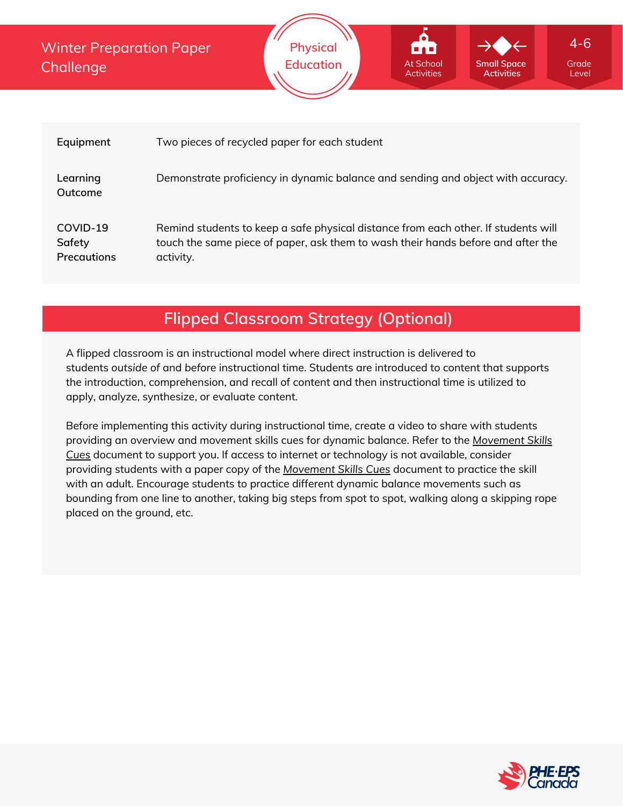Winter Preparation Paper **Challenge** 



| Equipment                                | Two pieces of recycled paper for each student                                                                                                                                       |
|------------------------------------------|-------------------------------------------------------------------------------------------------------------------------------------------------------------------------------------|
| Learning<br>Outcome                      | Demonstrate proficiency in dynamic balance and sending and object with accuracy.                                                                                                    |
| COVID-19<br>Safety<br><b>Precautions</b> | Remind students to keep a safe physical distance from each other. If students will<br>touch the same piece of paper, ask them to wash their hands before and after the<br>activity. |

# **Flipped Classroom Strategy (Optional)**

A flipped classroom is an instructional model where direct instruction is delivered to students *outside of* and *before* instructional time. Students are introduced to content that supports the introduction, comprehension, and recall of content and then instructional time is utilized to apply, analyze, synthesize, or evaluate content.

Before implementing this activity during instructional time, create a video to share with students providing an overview and movement skills cues for dynamic balance. Refer to the *Movement Skills Cues* document to support you. If access to internet or [technology](https://phecanada.ca/sites/default/files/content/docs/Home%20Learning%20Resource/Movement%20Cues/Movement%20Skills%20Cues%201.pdf) is not available, consider providing students with a paper copy of the *[Movement](https://phecanada.ca/sites/default/files/content/docs/Home%20Learning%20Resource/Movement%20Cues/Movement%20Skills%20Cues%201.pdf) Skills Cues* document to practice the skill with an adult. Encourage students to practice different dynamic balance movements such as bounding from one line to another, taking big steps from spot to spot, walking along a skipping rope placed on the ground, etc.



Level

4-6

**Small Space Activities**

At School **Activities**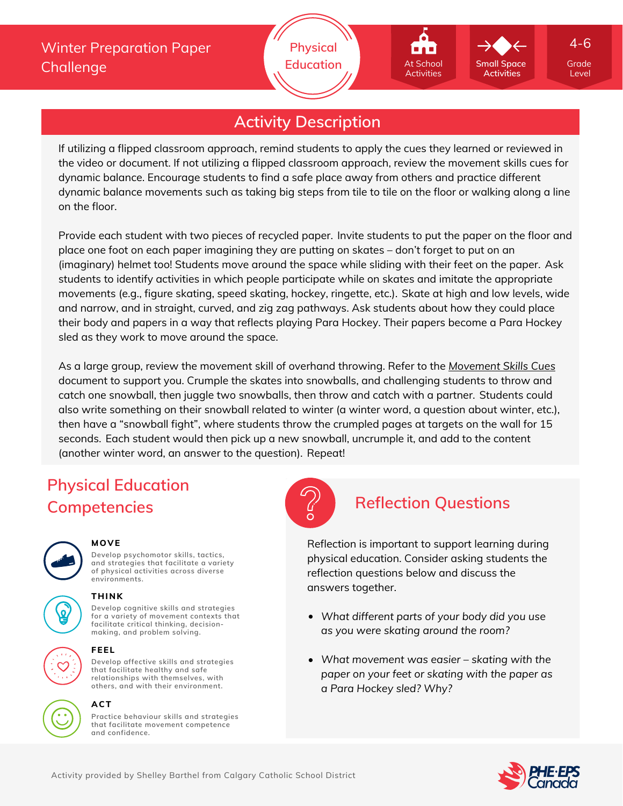# **Activity Description**

If utilizing a flipped classroom approach, remind students to apply the cues they learned or reviewed in the video or document. If not utilizing a flipped classroom approach, review the movement skills cues for dynamic balance. Encourage students to find a safe place away from others and practice different dynamic balance movements such as taking big steps from tile to tile on the floor or walking along a line on the floor.

Provide each student with two pieces of recycled paper. Invite students to put the paper on the floor and place one foot on each paper imagining they are putting on skates – don't forget to put on an (imaginary) helmet too! Students move around the space while sliding with their feet on the paper. Ask students to identify activities in which people participate while on skates and imitate the appropriate movements (e.g., figure skating, speed skating, hockey, ringette, etc.). Skate at high and low levels, wide and narrow, and in straight, curved, and zig zag pathways. Ask students about how they could place their body and papers in a way that reflects playing Para Hockey. Their papers become a Para Hockey sled as they work to move around the space.

As a large group, review the movement skill of overhand throwing. Refer to the *[Movement](https://phecanada.ca/sites/default/files/content/docs/Home%20Learning%20Resource/Movement%20Cues/Movement%20Skills%20Cues%201.pdf) Skills Cues* document to support you. Crumple the skates into snowballs, and challenging students to throw and catch one snowball, then juggle two snowballs, then throw and catch with a partner. Students could also write something on their snowball related to winter (a winter word, a question about winter, etc.), then have a "snowball fight", where students throw the crumpled pages at targets on the wall for 15 seconds. Each student would then pick up a new snowball, uncrumple it, and add to the content (another winter word, an answer to the question). Repeat!

# **Physical Education Competencies Reflection Questions**



### **MOVE**

**Develop psychomotor skills, tactics, and strategies that facilitate a variety of physical activities across diverse environments.**

## **THINK**

**Develop cognitive skills and strategies for a variety of movement contexts that facilitate critical thinking, decision making, and problem solving.**

**Develop affective skills and strategies that facilitate healthy and safe**



### **relationships with themselves, with others, and with their environment.**

**FEEL**

**ACT**

**Practice behaviour skills and strategies that facilitate movement competence and confidence.**



Reflection is important to support learning during physical education. Consider asking students the reflection questions below and discuss the answers together.

- *What different parts of your body did you use as you were skating around the room?*
- *What movement was easier – skating with the paper on your feet or skating with the paper as a Para Hockey sled? Why?*



Level

4-6

**Small Space Activities**

At School **Activities**